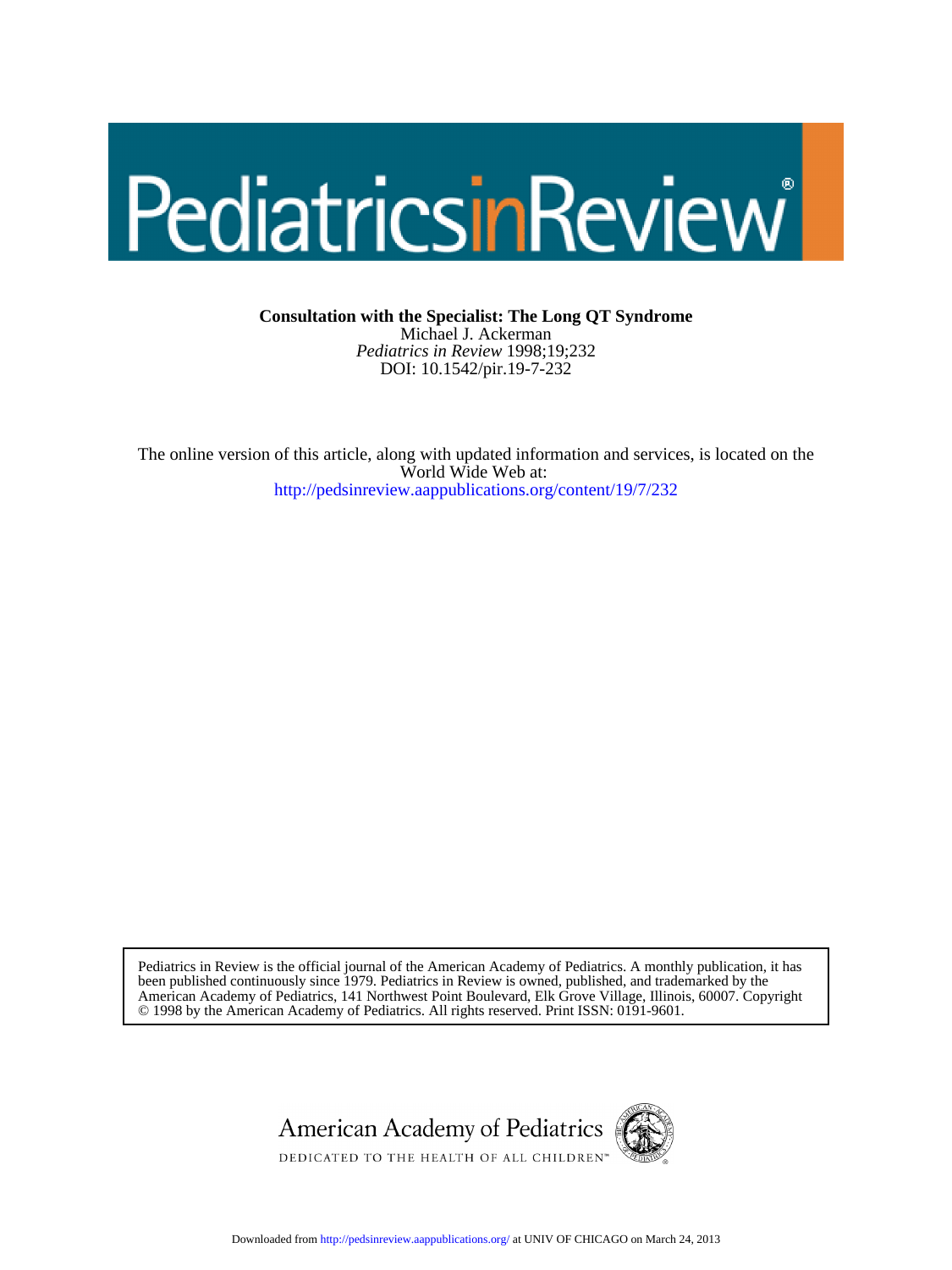# PediatricsinReview

DOI: 10.1542/pir.19-7-232 *Pediatrics in Review* 1998;19;232 Michael J. Ackerman **Consultation with the Specialist: The Long QT Syndrome**

<http://pedsinreview.aappublications.org/content/19/7/232> World Wide Web at: The online version of this article, along with updated information and services, is located on the

© 1998 by the American Academy of Pediatrics. All rights reserved. Print ISSN: 0191-9601. American Academy of Pediatrics, 141 Northwest Point Boulevard, Elk Grove Village, Illinois, 60007. Copyright been published continuously since 1979. Pediatrics in Review is owned, published, and trademarked by the Pediatrics in Review is the official journal of the American Academy of Pediatrics. A monthly publication, it has



Downloaded from<http://pedsinreview.aappublications.org/>at UNIV OF CHICAGO on March 24, 2013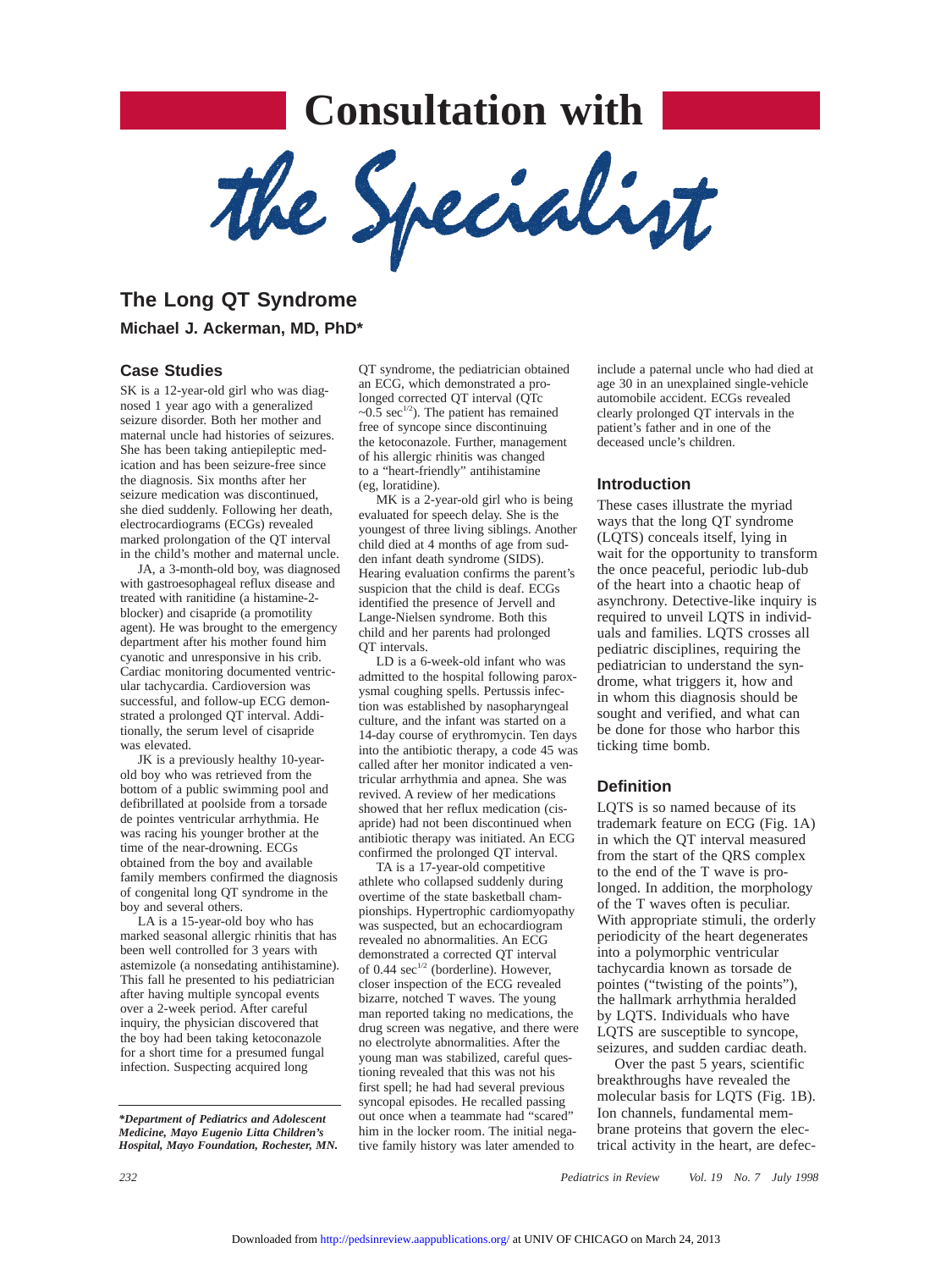# **Consultation with**

the Specialist

### **The Long QT Syndrome Michael J. Ackerman, MD, PhD\***

#### **Case Studies**

SK is a 12-year-old girl who was diagnosed 1 year ago with a generalized seizure disorder. Both her mother and maternal uncle had histories of seizures. She has been taking antiepileptic medication and has been seizure-free since the diagnosis. Six months after her seizure medication was discontinued, she died suddenly. Following her death, electrocardiograms (ECGs) revealed marked prolongation of the QT interval in the child's mother and maternal uncle.

JA, a 3-month-old boy, was diagnosed with gastroesophageal reflux disease and treated with ranitidine (a histamine-2 blocker) and cisapride (a promotility agent). He was brought to the emergency department after his mother found him cyanotic and unresponsive in his crib. Cardiac monitoring documented ventricular tachycardia. Cardioversion was successful, and follow-up ECG demonstrated a prolonged QT interval. Additionally, the serum level of cisapride was elevated.

JK is a previously healthy 10-yearold boy who was retrieved from the bottom of a public swimming pool and defibrillated at poolside from a torsade de pointes ventricular arrhythmia. He was racing his younger brother at the time of the near-drowning. ECGs obtained from the boy and available family members confirmed the diagnosis of congenital long QT syndrome in the boy and several others.

LA is a 15-year-old boy who has marked seasonal allergic rhinitis that has been well controlled for 3 years with astemizole (a nonsedating antihistamine). This fall he presented to his pediatrician after having multiple syncopal events over a 2-week period. After careful inquiry, the physician discovered that the boy had been taking ketoconazole for a short time for a presumed fungal infection. Suspecting acquired long

QT syndrome, the pediatrician obtained an ECG, which demonstrated a prolonged corrected QT interval (QTc  $\sim 0.5$  sec<sup>1/2</sup>). The patient has remained free of syncope since discontinuing the ketoconazole. Further, management of his allergic rhinitis was changed to a "heart-friendly" antihistamine (eg, loratidine).

MK is a 2-year-old girl who is being evaluated for speech delay. She is the youngest of three living siblings. Another child died at 4 months of age from sudden infant death syndrome (SIDS). Hearing evaluation confirms the parent's suspicion that the child is deaf. ECGs identified the presence of Jervell and Lange-Nielsen syndrome. Both this child and her parents had prolonged OT intervals.

LD is a 6-week-old infant who was admitted to the hospital following paroxysmal coughing spells. Pertussis infection was established by nasopharyngeal culture, and the infant was started on a 14-day course of erythromycin. Ten days into the antibiotic therapy, a code 45 was called after her monitor indicated a ventricular arrhythmia and apnea. She was revived. A review of her medications showed that her reflux medication (cisapride) had not been discontinued when antibiotic therapy was initiated. An ECG confirmed the prolonged QT interval.

TA is a 17-year-old competitive athlete who collapsed suddenly during overtime of the state basketball championships. Hypertrophic cardiomyopathy was suspected, but an echocardiogram revealed no abnormalities. An ECG demonstrated a corrected QT interval of 0.44  $sec^{1/2}$  (borderline). However, closer inspection of the ECG revealed bizarre, notched T waves. The young man reported taking no medications, the drug screen was negative, and there were no electrolyte abnormalities. After the young man was stabilized, careful questioning revealed that this was not his first spell; he had had several previous syncopal episodes. He recalled passing out once when a teammate had "scared" him in the locker room. The initial negative family history was later amended to

include a paternal uncle who had died at age 30 in an unexplained single-vehicle automobile accident. ECGs revealed clearly prolonged QT intervals in the patient's father and in one of the deceased uncle's children.

#### **Introduction**

These cases illustrate the myriad ways that the long QT syndrome (LQTS) conceals itself, lying in wait for the opportunity to transform the once peaceful, periodic lub-dub of the heart into a chaotic heap of asynchrony. Detective-like inquiry is required to unveil LQTS in individuals and families. LQTS crosses all pediatric disciplines, requiring the pediatrician to understand the syndrome, what triggers it, how and in whom this diagnosis should be sought and verified, and what can be done for those who harbor this ticking time bomb.

#### **Definition**

LQTS is so named because of its trademark feature on ECG (Fig. 1A) in which the QT interval measured from the start of the QRS complex to the end of the T wave is prolonged. In addition, the morphology of the T waves often is peculiar. With appropriate stimuli, the orderly periodicity of the heart degenerates into a polymorphic ventricular tachycardia known as torsade de pointes ("twisting of the points"), the hallmark arrhythmia heralded by LQTS. Individuals who have LQTS are susceptible to syncope, seizures, and sudden cardiac death.

Over the past 5 years, scientific breakthroughs have revealed the molecular basis for LQTS (Fig. 1B). Ion channels, fundamental membrane proteins that govern the electrical activity in the heart, are defec-

*<sup>\*</sup>Department of Pediatrics and Adolescent Medicine, Mayo Eugenio Litta Children's Hospital, Mayo Foundation, Rochester, MN.*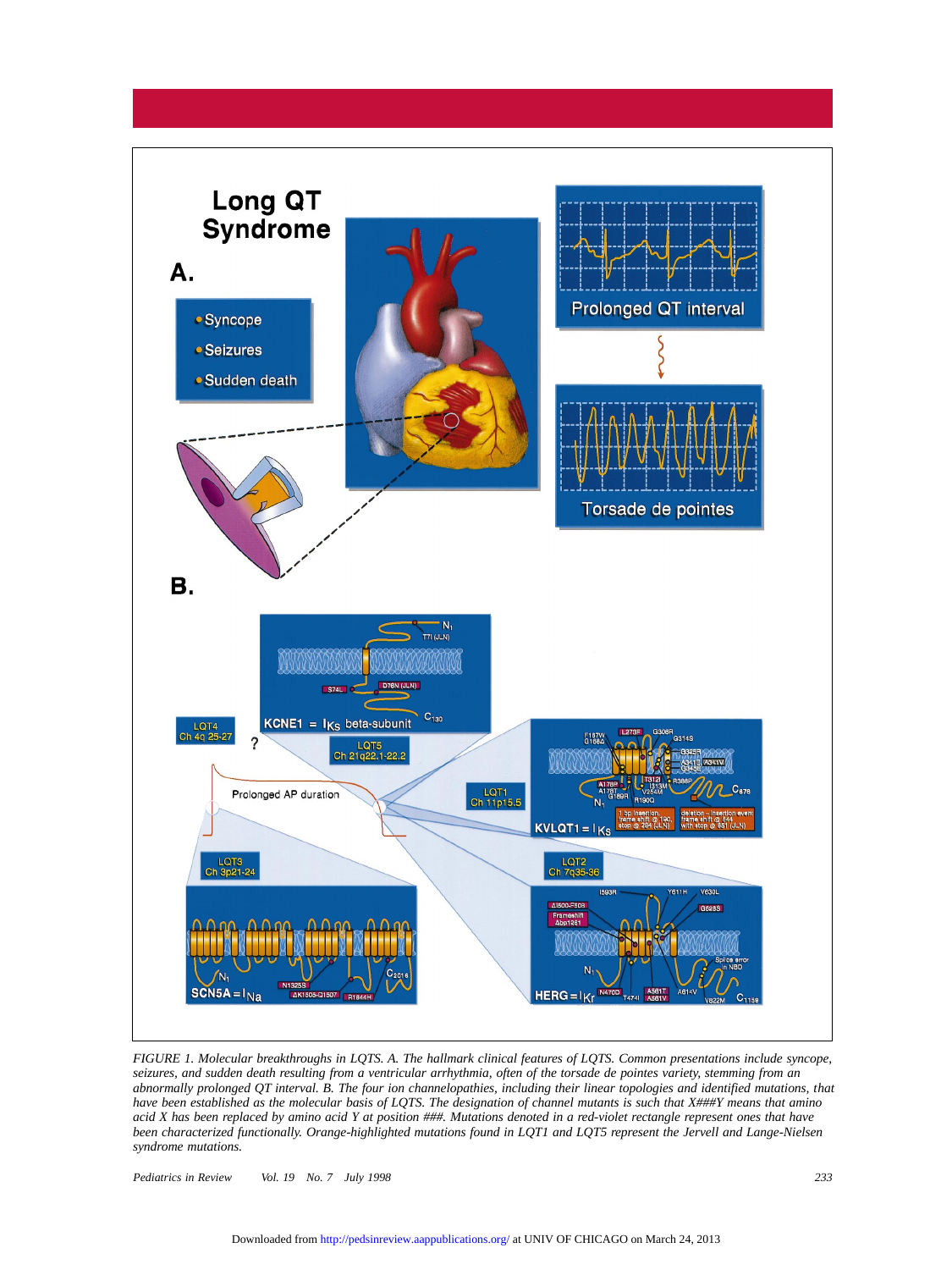

*FIGURE 1. Molecular breakthroughs in LQTS. A. The hallmark clinical features of LQTS. Common presentations include syncope, seizures, and sudden death resulting from a ventricular arrhythmia, often of the torsade de pointes variety, stemming from an abnormally prolonged QT interval. B. The four ion channelopathies, including their linear topologies and identified mutations, that have been established as the molecular basis of LQTS. The designation of channel mutants is such that X###Y means that amino acid X has been replaced by amino acid Y at position ###. Mutations denoted in a red-violet rectangle represent ones that have been characterized functionally. Orange-highlighted mutations found in LQT1 and LQT5 represent the Jervell and Lange-Nielsen syndrome mutations.*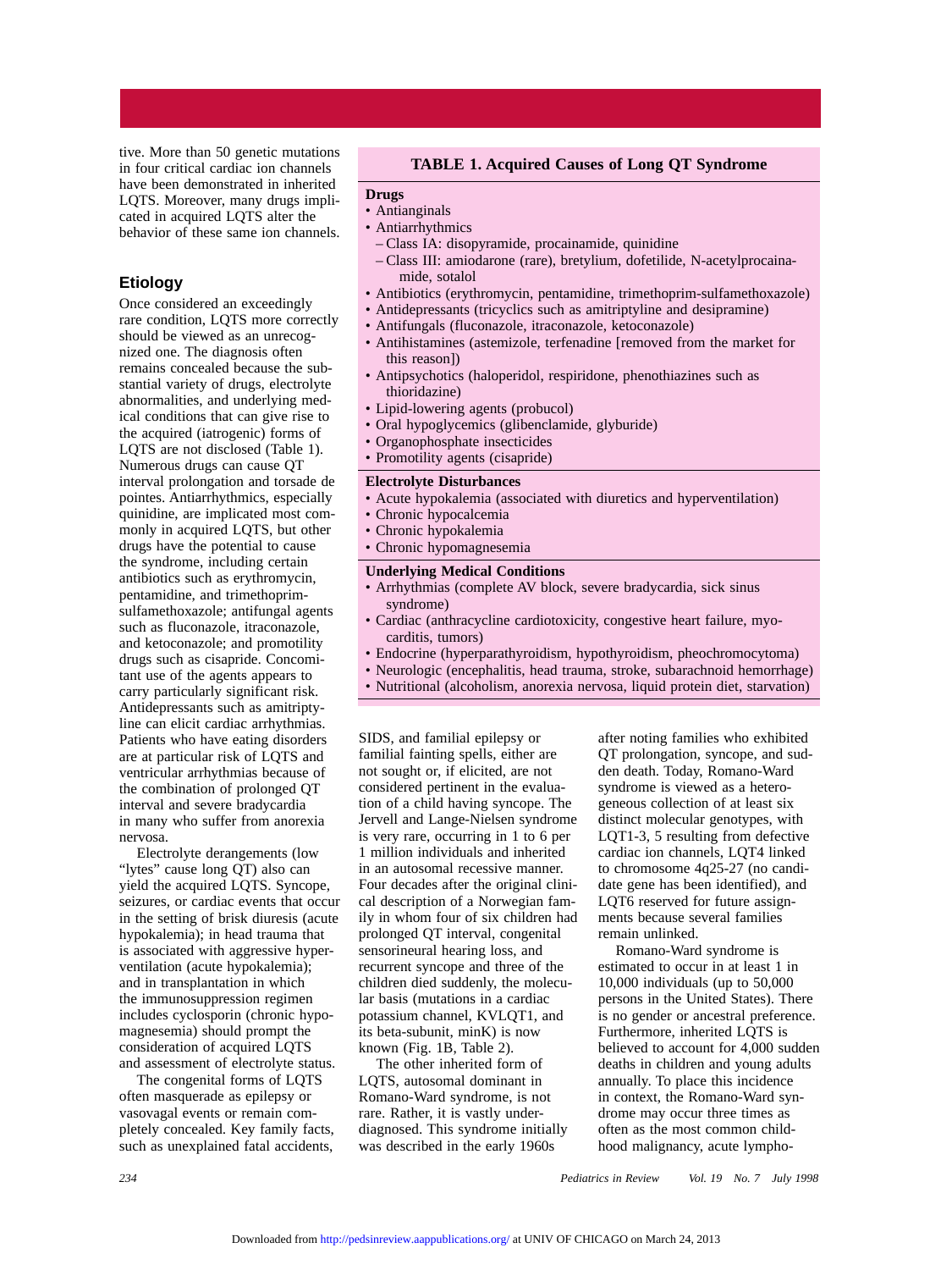tive. More than 50 genetic mutations in four critical cardiac ion channels have been demonstrated in inherited LQTS. Moreover, many drugs implicated in acquired LQTS alter the behavior of these same ion channels.

#### **Etiology**

Once considered an exceedingly rare condition, LQTS more correctly should be viewed as an unrecognized one. The diagnosis often remains concealed because the substantial variety of drugs, electrolyte abnormalities, and underlying medical conditions that can give rise to the acquired (iatrogenic) forms of LOTS are not disclosed (Table 1). Numerous drugs can cause QT interval prolongation and torsade de pointes. Antiarrhythmics, especially quinidine, are implicated most commonly in acquired LQTS, but other drugs have the potential to cause the syndrome, including certain antibiotics such as erythromycin, pentamidine, and trimethoprimsulfamethoxazole; antifungal agents such as fluconazole, itraconazole, and ketoconazole; and promotility drugs such as cisapride. Concomitant use of the agents appears to carry particularly significant risk. Antidepressants such as amitriptyline can elicit cardiac arrhythmias. Patients who have eating disorders are at particular risk of LQTS and ventricular arrhythmias because of the combination of prolonged QT interval and severe bradycardia in many who suffer from anorexia nervosa.

Electrolyte derangements (low "lytes" cause long QT) also can yield the acquired LQTS. Syncope, seizures, or cardiac events that occur in the setting of brisk diuresis (acute hypokalemia); in head trauma that is associated with aggressive hyperventilation (acute hypokalemia); and in transplantation in which the immunosuppression regimen includes cyclosporin (chronic hypomagnesemia) should prompt the consideration of acquired LQTS and assessment of electrolyte status.

The congenital forms of LQTS often masquerade as epilepsy or vasovagal events or remain completely concealed. Key family facts, such as unexplained fatal accidents,

#### **TABLE 1. Acquired Causes of Long QT Syndrome**

#### **Drugs**

- Antianginals
- Antiarrhythmics
	- Class IA: disopyramide, procainamide, quinidine
- Class III: amiodarone (rare), bretylium, dofetilide, N-acetylprocainamide, sotalol
- Antibiotics (erythromycin, pentamidine, trimethoprim-sulfamethoxazole)
- Antidepressants (tricyclics such as amitriptyline and desipramine)
- Antifungals (fluconazole, itraconazole, ketoconazole)
- Antihistamines (astemizole, terfenadine [removed from the market for this reason])
- Antipsychotics (haloperidol, respiridone, phenothiazines such as thioridazine)
- Lipid-lowering agents (probucol)
- Oral hypoglycemics (glibenclamide, glyburide)
- Organophosphate insecticides
- Promotility agents (cisapride)

#### **Electrolyte Disturbances**

- Acute hypokalemia (associated with diuretics and hyperventilation)
- Chronic hypocalcemia
- Chronic hypokalemia
- Chronic hypomagnesemia

#### **Underlying Medical Conditions**

- Arrhythmias (complete AV block, severe bradycardia, sick sinus syndrome)
- Cardiac (anthracycline cardiotoxicity, congestive heart failure, myocarditis, tumors)
- Endocrine (hyperparathyroidism, hypothyroidism, pheochromocytoma)
- Neurologic (encephalitis, head trauma, stroke, subarachnoid hemorrhage)
- Nutritional (alcoholism, anorexia nervosa, liquid protein diet, starvation)

SIDS, and familial epilepsy or familial fainting spells, either are not sought or, if elicited, are not considered pertinent in the evaluation of a child having syncope. The Jervell and Lange-Nielsen syndrome is very rare, occurring in 1 to 6 per 1 million individuals and inherited in an autosomal recessive manner. Four decades after the original clinical description of a Norwegian family in whom four of six children had prolonged QT interval, congenital sensorineural hearing loss, and recurrent syncope and three of the children died suddenly, the molecular basis (mutations in a cardiac potassium channel, KVLQT1, and its beta-subunit, minK) is now known (Fig. 1B, Table 2).

The other inherited form of LQTS, autosomal dominant in Romano-Ward syndrome, is not rare. Rather, it is vastly underdiagnosed. This syndrome initially was described in the early 1960s

after noting families who exhibited QT prolongation, syncope, and sudden death. Today, Romano-Ward syndrome is viewed as a heterogeneous collection of at least six distinct molecular genotypes, with LQT1-3, 5 resulting from defective cardiac ion channels, LQT4 linked to chromosome 4q25-27 (no candidate gene has been identified), and LQT6 reserved for future assignments because several families remain unlinked.

Romano-Ward syndrome is estimated to occur in at least 1 in 10,000 individuals (up to 50,000 persons in the United States). There is no gender or ancestral preference. Furthermore, inherited LQTS is believed to account for 4,000 sudden deaths in children and young adults annually. To place this incidence in context, the Romano-Ward syndrome may occur three times as often as the most common childhood malignancy, acute lympho-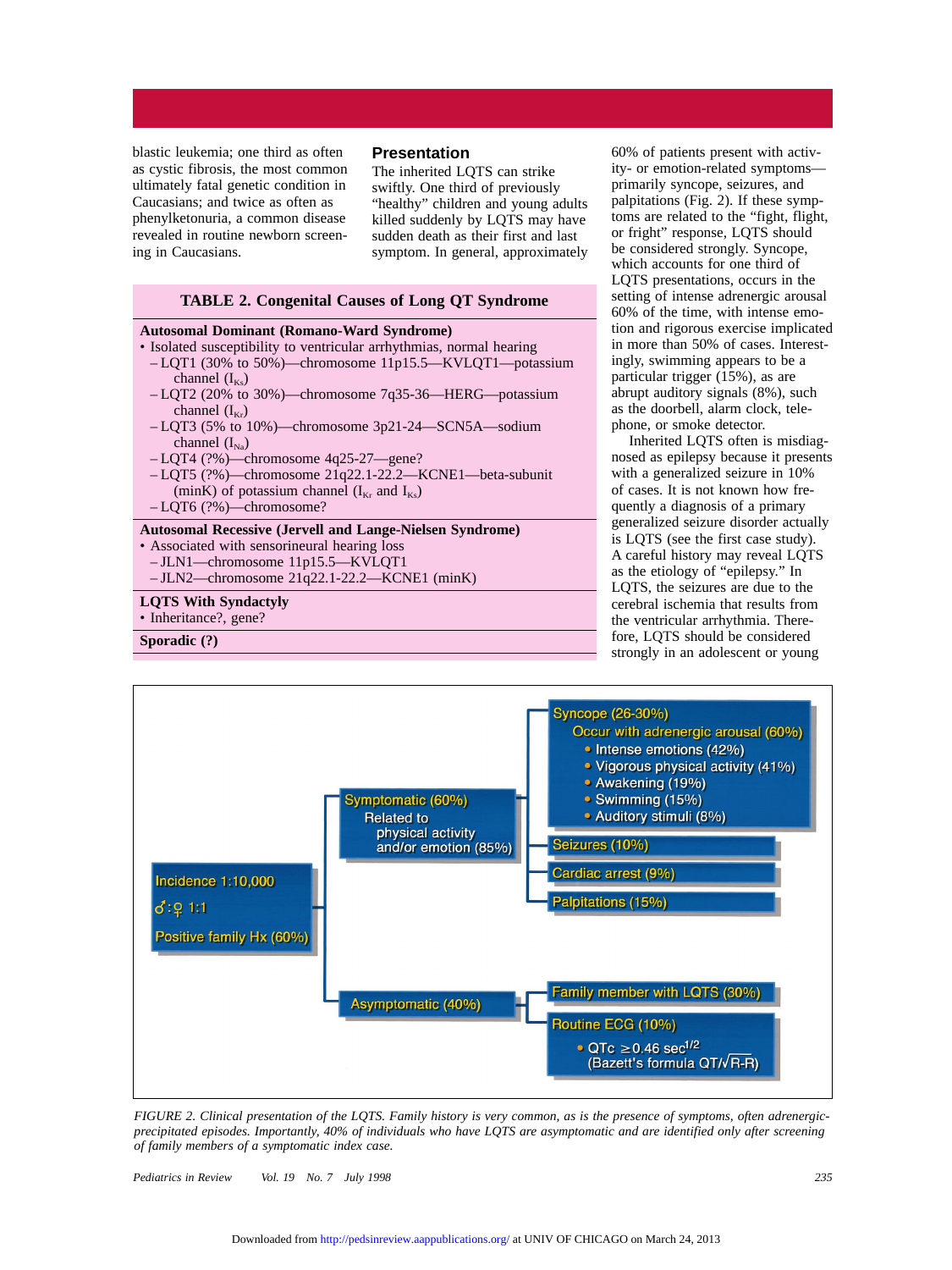blastic leukemia; one third as often as cystic fibrosis, the most common ultimately fatal genetic condition in Caucasians; and twice as often as phenylketonuria, a common disease revealed in routine newborn screening in Caucasians.

#### **Presentation**

The inherited LQTS can strike swiftly. One third of previously "healthy" children and young adults killed suddenly by LQTS may have sudden death as their first and last symptom. In general, approximately

| <b>TABLE 2. Congenital Causes of Long QT Syndrome</b>                              |
|------------------------------------------------------------------------------------|
| Autosomal Dominant (Romano-Ward Syndrome)                                          |
| • Isolated susceptibility to ventricular arrhythmias, normal hearing               |
| -LQT1 (30% to 50%)—chromosome 11p15.5—KVLQT1—potassium                             |
| channel $(I_{Ks})$                                                                 |
| $-LQT2$ (20% to 30%)—chromosome 7q35-36—HERG—potassium<br>channel $(I_{\kappa_r})$ |
| $-LQT3$ (5% to 10%)—chromosome 3p21-24—SCN5A—sodium                                |
| channel $(I_{N_0})$                                                                |
| $-LQT4$ (?%)—chromosome 4q25-27—gene?                                              |
| $-LQT5$ (?%)—chromosome 21q22.1-22.2—KCNE1—beta-subunit                            |
| (minK) of potassium channel $(I_{Kr}$ and $I_{Ks}$ )                               |
| $-LQT6$ (?%)—chromosome?                                                           |
|                                                                                    |

#### **Autosomal Recessive (Jervell and Lange-Nielsen Syndrome)**

- Associated with sensorineural hearing loss
- JLN1—chromosome 11p15.5—KVLQT1
- JLN2—chromosome 21q22.1-22.2—KCNE1 (minK)

#### **LQTS With Syndactyly**

• Inheritance?, gene?

**Sporadic (?)**

60% of patients present with activity- or emotion-related symptoms primarily syncope, seizures, and palpitations (Fig. 2). If these symptoms are related to the "fight, flight, or fright" response, LQTS should be considered strongly. Syncope, which accounts for one third of LQTS presentations, occurs in the setting of intense adrenergic arousal 60% of the time, with intense emotion and rigorous exercise implicated in more than 50% of cases. Interestingly, swimming appears to be a particular trigger (15%), as are abrupt auditory signals (8%), such as the doorbell, alarm clock, telephone, or smoke detector.

Inherited LQTS often is misdiagnosed as epilepsy because it presents with a generalized seizure in 10% of cases. It is not known how frequently a diagnosis of a primary generalized seizure disorder actually is LQTS (see the first case study). A careful history may reveal LQTS as the etiology of "epilepsy." In LQTS, the seizures are due to the cerebral ischemia that results from the ventricular arrhythmia. Therefore, LQTS should be considered strongly in an adolescent or young



*FIGURE 2. Clinical presentation of the LQTS. Family history is very common, as is the presence of symptoms, often adrenergicprecipitated episodes. Importantly, 40% of individuals who have LQTS are asymptomatic and are identified only after screening of family members of a symptomatic index case.*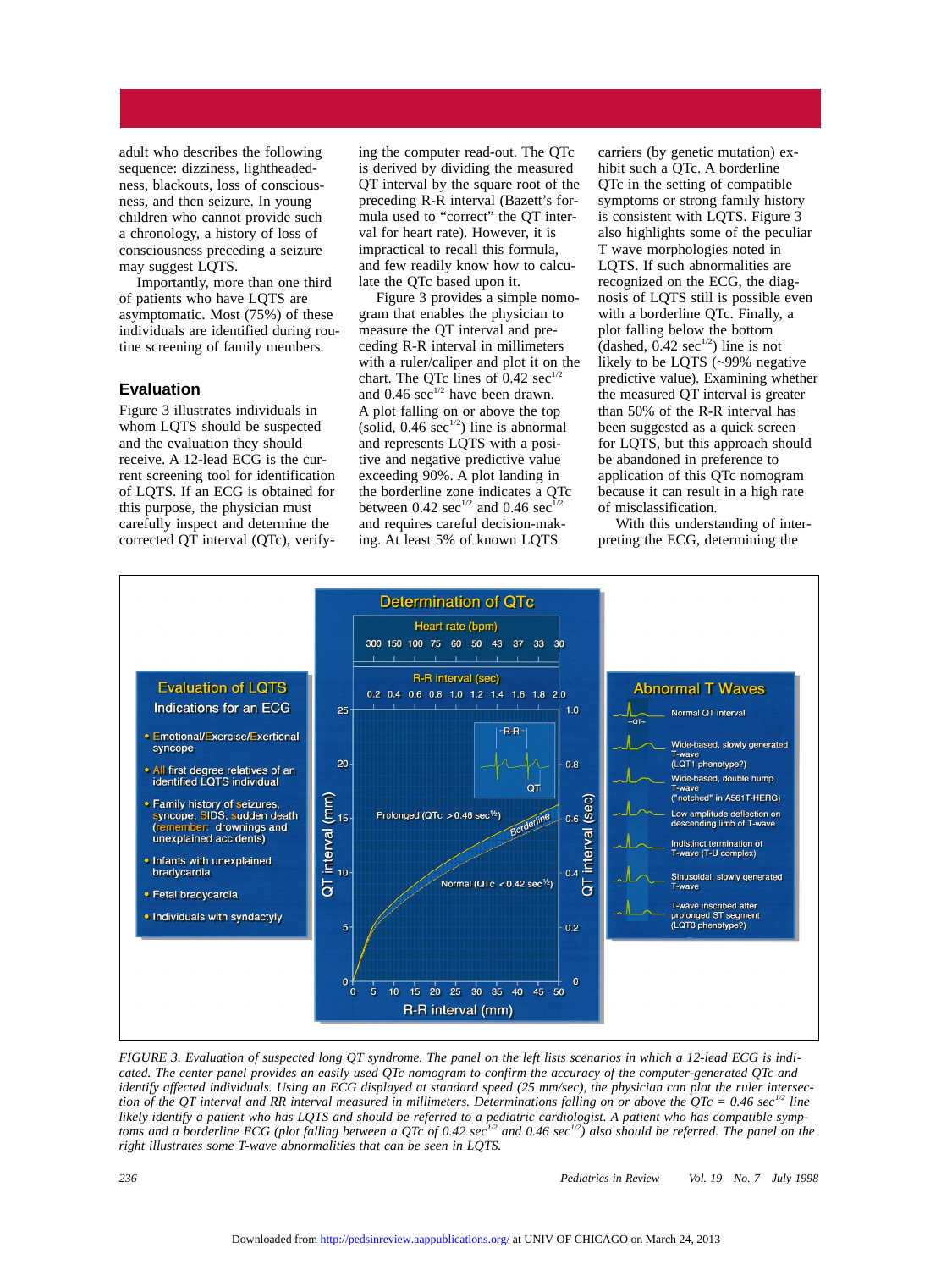adult who describes the following sequence: dizziness, lightheadedness, blackouts, loss of consciousness, and then seizure. In young children who cannot provide such a chronology, a history of loss of consciousness preceding a seizure may suggest LQTS.

Importantly, more than one third of patients who have LQTS are asymptomatic. Most (75%) of these individuals are identified during routine screening of family members.

#### **Evaluation**

Figure 3 illustrates individuals in whom LQTS should be suspected and the evaluation they should receive. A 12-lead ECG is the current screening tool for identification of LQTS. If an ECG is obtained for this purpose, the physician must carefully inspect and determine the corrected QT interval (QTc), verifying the computer read-out. The QTc is derived by dividing the measured QT interval by the square root of the preceding R-R interval (Bazett's formula used to "correct" the QT interval for heart rate). However, it is impractical to recall this formula, and few readily know how to calculate the QTc based upon it.

Figure 3 provides a simple nomogram that enables the physician to measure the QT interval and preceding R-R interval in millimeters with a ruler/caliper and plot it on the chart. The QTc lines of  $0.42 \text{ sec}^{1/2}$ and  $0.46 \text{ sec}^{1/2}$  have been drawn. A plot falling on or above the top (solid,  $0.46 \text{ sec}^{1/2}$ ) line is abnormal and represents LQTS with a positive and negative predictive value exceeding 90%. A plot landing in the borderline zone indicates a QTc between  $0.42 \text{ sec}^{1/2}$  and  $0.46 \text{ sec}^{1/2}$ and requires careful decision-making. At least 5% of known LQTS

carriers (by genetic mutation) exhibit such a QTc. A borderline QTc in the setting of compatible symptoms or strong family history is consistent with LQTS. Figure 3 also highlights some of the peculiar T wave morphologies noted in LQTS. If such abnormalities are recognized on the ECG, the diagnosis of LQTS still is possible even with a borderline QTc. Finally, a plot falling below the bottom (dashed,  $0.42 \text{ sec}^{1/2}$ ) line is not likely to be LQTS (~99% negative predictive value). Examining whether the measured QT interval is greater than 50% of the R-R interval has been suggested as a quick screen for LQTS, but this approach should be abandoned in preference to application of this QTc nomogram because it can result in a high rate of misclassification.

With this understanding of interpreting the ECG, determining the



*FIGURE 3. Evaluation of suspected long QT syndrome. The panel on the left lists scenarios in which a 12-lead ECG is indicated. The center panel provides an easily used QTc nomogram to confirm the accuracy of the computer-generated QTc and identify affected individuals. Using an ECG displayed at standard speed (25 mm/sec), the physician can plot the ruler intersection of the QT interval and RR interval measured in millimeters. Determinations falling on or above the QTc = 0.46 sec1/2 line likely identify a patient who has LQTS and should be referred to a pediatric cardiologist. A patient who has compatible symptoms and a borderline ECG (plot falling between a QTc of 0.42 sec<sup>1/2</sup> and 0.46 sec<sup>1/2</sup>) also should be referred. The panel on the right illustrates some T-wave abnormalities that can be seen in LQTS.*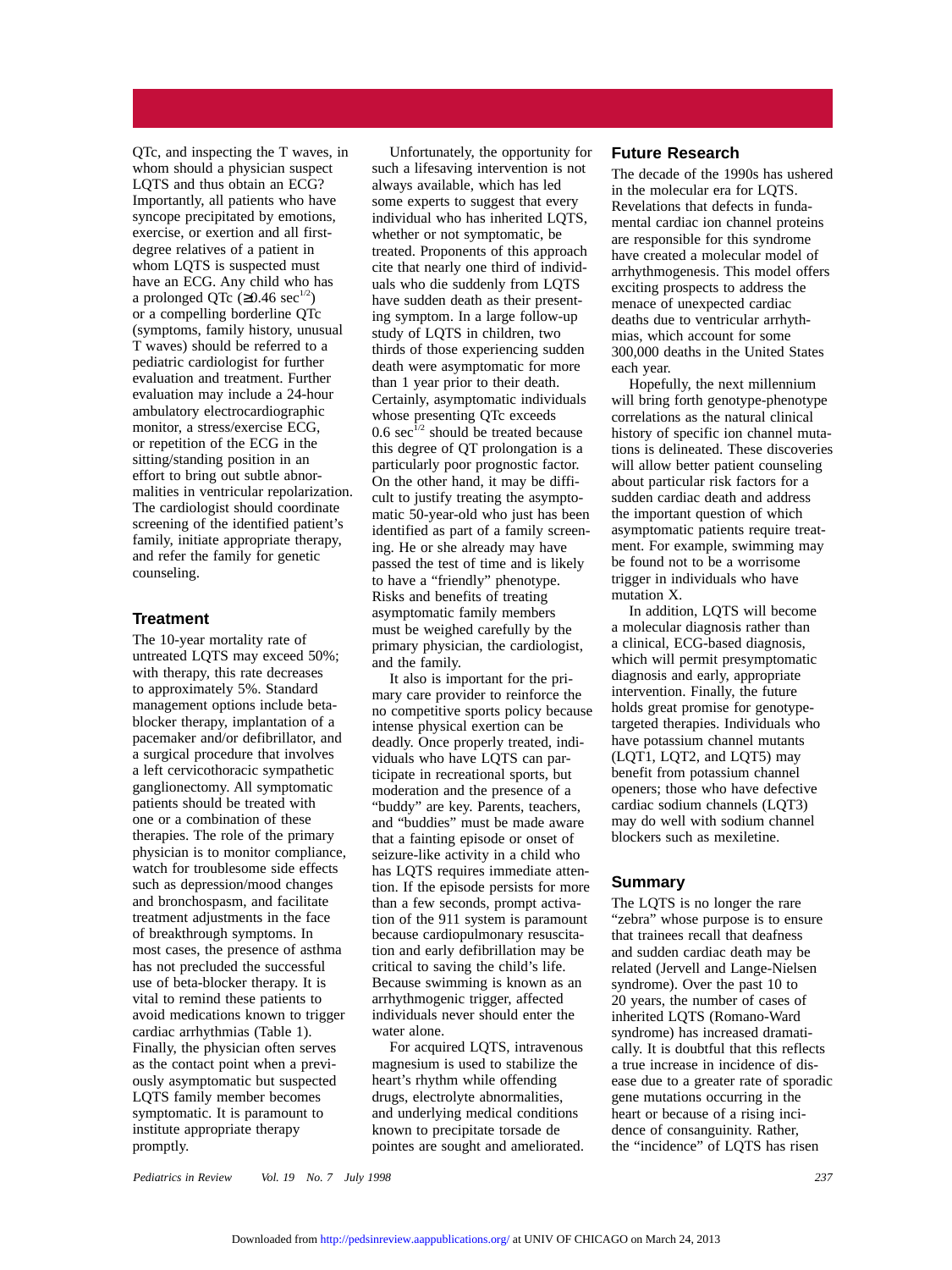QTc, and inspecting the T waves, in whom should a physician suspect LQTS and thus obtain an ECG? Importantly, all patients who have syncope precipitated by emotions, exercise, or exertion and all firstdegree relatives of a patient in whom LQTS is suspected must have an ECG. Any child who has a prolonged QTc  $(≥0.46 sec^{1/2})$ or a compelling borderline QTc (symptoms, family history, unusual T waves) should be referred to a pediatric cardiologist for further evaluation and treatment. Further evaluation may include a 24-hour ambulatory electrocardiographic monitor, a stress/exercise ECG, or repetition of the ECG in the sitting/standing position in an effort to bring out subtle abnormalities in ventricular repolarization. The cardiologist should coordinate screening of the identified patient's family, initiate appropriate therapy, and refer the family for genetic counseling.

#### **Treatment**

The 10-year mortality rate of untreated LQTS may exceed 50%; with therapy, this rate decreases to approximately 5%. Standard management options include betablocker therapy, implantation of a pacemaker and/or defibrillator, and a surgical procedure that involves a left cervicothoracic sympathetic ganglionectomy. All symptomatic patients should be treated with one or a combination of these therapies. The role of the primary physician is to monitor compliance, watch for troublesome side effects such as depression/mood changes and bronchospasm, and facilitate treatment adjustments in the face of breakthrough symptoms. In most cases, the presence of asthma has not precluded the successful use of beta-blocker therapy. It is vital to remind these patients to avoid medications known to trigger cardiac arrhythmias (Table 1). Finally, the physician often serves as the contact point when a previously asymptomatic but suspected LQTS family member becomes symptomatic. It is paramount to institute appropriate therapy promptly.

Unfortunately, the opportunity for such a lifesaving intervention is not always available, which has led some experts to suggest that every individual who has inherited LQTS, whether or not symptomatic, be treated. Proponents of this approach cite that nearly one third of individuals who die suddenly from LQTS have sudden death as their presenting symptom. In a large follow-up study of LQTS in children, two thirds of those experiencing sudden death were asymptomatic for more than 1 year prior to their death. Certainly, asymptomatic individuals whose presenting QTc exceeds  $0.6 \text{ sec}^{1/2}$  should be treated because this degree of QT prolongation is a particularly poor prognostic factor. On the other hand, it may be difficult to justify treating the asymptomatic 50-year-old who just has been identified as part of a family screening. He or she already may have passed the test of time and is likely to have a "friendly" phenotype. Risks and benefits of treating asymptomatic family members must be weighed carefully by the primary physician, the cardiologist, and the family.

It also is important for the primary care provider to reinforce the no competitive sports policy because intense physical exertion can be deadly. Once properly treated, individuals who have LQTS can participate in recreational sports, but moderation and the presence of a "buddy" are key. Parents, teachers, and "buddies" must be made aware that a fainting episode or onset of seizure-like activity in a child who has LQTS requires immediate attention. If the episode persists for more than a few seconds, prompt activation of the 911 system is paramount because cardiopulmonary resuscitation and early defibrillation may be critical to saving the child's life. Because swimming is known as an arrhythmogenic trigger, affected individuals never should enter the water alone.

For acquired LQTS, intravenous magnesium is used to stabilize the heart's rhythm while offending drugs, electrolyte abnormalities, and underlying medical conditions known to precipitate torsade de pointes are sought and ameliorated.

#### **Future Research**

The decade of the 1990s has ushered in the molecular era for LQTS. Revelations that defects in fundamental cardiac ion channel proteins are responsible for this syndrome have created a molecular model of arrhythmogenesis. This model offers exciting prospects to address the menace of unexpected cardiac deaths due to ventricular arrhythmias, which account for some 300,000 deaths in the United States each year.

Hopefully, the next millennium will bring forth genotype-phenotype correlations as the natural clinical history of specific ion channel mutations is delineated. These discoveries will allow better patient counseling about particular risk factors for a sudden cardiac death and address the important question of which asymptomatic patients require treatment. For example, swimming may be found not to be a worrisome trigger in individuals who have mutation X.

In addition, LQTS will become a molecular diagnosis rather than a clinical, ECG-based diagnosis, which will permit presymptomatic diagnosis and early, appropriate intervention. Finally, the future holds great promise for genotypetargeted therapies. Individuals who have potassium channel mutants (LQT1, LQT2, and LQT5) may benefit from potassium channel openers; those who have defective cardiac sodium channels (LQT3) may do well with sodium channel blockers such as mexiletine.

#### **Summary**

The LQTS is no longer the rare "zebra" whose purpose is to ensure that trainees recall that deafness and sudden cardiac death may be related (Jervell and Lange-Nielsen syndrome). Over the past 10 to 20 years, the number of cases of inherited LQTS (Romano-Ward syndrome) has increased dramatically. It is doubtful that this reflects a true increase in incidence of disease due to a greater rate of sporadic gene mutations occurring in the heart or because of a rising incidence of consanguinity. Rather, the "incidence" of LQTS has risen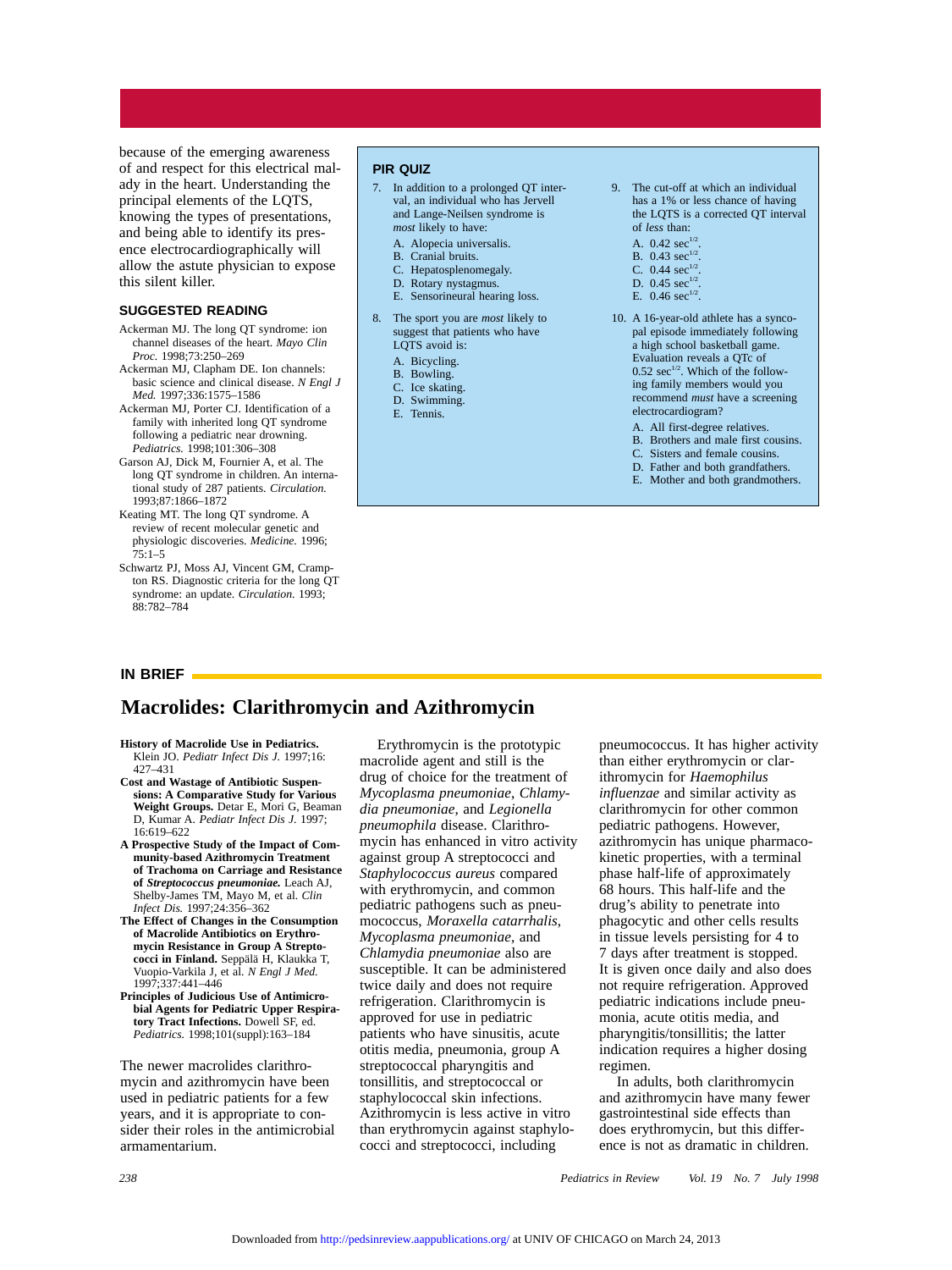because of the emerging awareness of and respect for this electrical malady in the heart. Understanding the principal elements of the LQTS, knowing the types of presentations, and being able to identify its presence electrocardiographically will allow the astute physician to expose this silent killer.

#### **SUGGESTED READING**

- Ackerman MJ. The long QT syndrome: ion channel diseases of the heart. *Mayo Clin Proc.* 1998;73:250–269
- Ackerman MJ, Clapham DE. Ion channels: basic science and clinical disease. *N Engl J Med.* 1997;336:1575–1586

#### Ackerman MJ, Porter CJ. Identification of a family with inherited long QT syndrome following a pediatric near drowning. *Pediatrics.* 1998;101:306–308

Garson AJ, Dick M, Fournier A, et al. The long QT syndrome in children. An international study of 287 patients. *Circulation.*  $1993.87.1866 - 1872$ 

Keating MT. The long QT syndrome. A review of recent molecular genetic and physiologic discoveries. *Medicine.* 1996; 75:1–5

Schwartz PJ, Moss AJ, Vincent GM, Crampton RS. Diagnostic criteria for the long QT syndrome: an update. *Circulation.* 1993; 88:782–784

#### **PIR QUIZ**

- 7. In addition to a prolonged QT interval, an individual who has Jervell and Lange-Neilsen syndrome is *most* likely to have:
	- A. Alopecia universalis.
	- B. Cranial bruits.
	- C. Hepatosplenomegaly.
	- D. Rotary nystagmus.
	- E. Sensorineural hearing loss.
- 8. The sport you are *most* likely to suggest that patients who have  $L<sub>OTS</sub>$  avoid is:
	- A. Bicycling.
	- B. Bowling.
	- C. Ice skating.
	- D. Swimming.
	- E. Tennis.
- 9. The cut-off at which an individual has a 1% or less chance of having the LQTS is a corrected QT interval of *less* than:
	- A.  $0.42 \text{ sec}^{1/2}$ .
	- B.  $0.43 \text{ sec}^{1/2}$ .
	- C.  $0.44 \text{ sec}^{1/2}$ .
	- D.  $0.45 \text{ sec}^{1/2}$ . E.  $0.46 \text{ sec}^{1/2}$ .
- 10. A 16-year-old athlete has a syncopal episode immediately following a high school basketball game. Evaluation reveals a QTc of  $0.52$  sec<sup>1/2</sup>. Which of the following family members would you recommend *must* have a screening
	- electrocardiogram?
	- A. All first-degree relatives.
	- B. Brothers and male first cousins. C. Sisters and female cousins.
	- D. Father and both grandfathers.
	- E. Mother and both grandmothers.

#### **IN BRIEF**

#### **Macrolides: Clarithromycin and Azithromycin**

- **History of Macrolide Use in Pediatrics.** Klein JO. *Pediatr Infect Dis J.* 1997;16:  $427 - 431$
- **Cost and Wastage of Antibiotic Suspensions: A Comparative Study for Various Weight Groups.** Detar E, Mori G, Beaman D, Kumar A. *Pediatr Infect Dis J.* 1997; 16:619–622
- **A Prospective Study of the Impact of Community-based Azithromycin Treatment of Trachoma on Carriage and Resistance of** *Streptococcus pneumoniae.* Leach AJ, Shelby-James TM, Mayo M, et al. *Clin Infect Dis.* 1997;24:356–362
- **The Effect of Changes in the Consumption of Macrolide Antibiotics on Erythromycin Resistance in Group A Streptococci in Finland.** Seppälä H, Klaukka T, Vuopio-Varkila J, et al. *N Engl J Med.* 1997;337:441–446
- **Principles of Judicious Use of Antimicrobial Agents for Pediatric Upper Respiratory Tract Infections.** Dowell SF, ed. *Pediatrics.* 1998;101(suppl):163–184

The newer macrolides clarithromycin and azithromycin have been used in pediatric patients for a few years, and it is appropriate to consider their roles in the antimicrobial armamentarium.

macrolide agent and still is the drug of choice for the treatment of *Mycoplasma pneumoniae*, *Chlamydia pneumoniae*, and *Legionella pneumophila* disease. Clarithromycin has enhanced in vitro activity against group A streptococci and *Staphylococcus aureus* compared with erythromycin, and common pediatric pathogens such as pneumococcus, *Moraxella catarrhalis*, *Mycoplasma pneumoniae*, and *Chlamydia pneumoniae* also are susceptible. It can be administered twice daily and does not require refrigeration. Clarithromycin is approved for use in pediatric patients who have sinusitis, acute otitis media, pneumonia, group A streptococcal pharyngitis and tonsillitis, and streptococcal or staphylococcal skin infections. Azithromycin is less active in vitro than erythromycin against staphylococci and streptococci, including

Erythromycin is the prototypic

pneumococcus. It has higher activity than either erythromycin or clarithromycin for *Haemophilus influenzae* and similar activity as clarithromycin for other common pediatric pathogens. However, azithromycin has unique pharmacokinetic properties, with a terminal phase half-life of approximately 68 hours. This half-life and the drug's ability to penetrate into phagocytic and other cells results in tissue levels persisting for 4 to 7 days after treatment is stopped. It is given once daily and also does not require refrigeration. Approved pediatric indications include pneumonia, acute otitis media, and pharyngitis/tonsillitis; the latter indication requires a higher dosing regimen.

In adults, both clarithromycin and azithromycin have many fewer gastrointestinal side effects than does erythromycin, but this difference is not as dramatic in children.